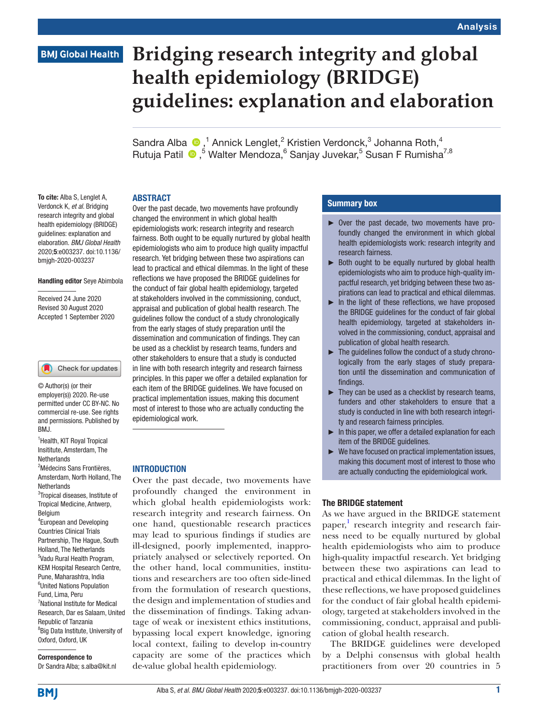#### Analysis

# **BMJ Global Health**

# **Bridging research integrity and global health epidemiology (BRIDGE) guidelines: explanation and elaboration**

Sandra Alba  $\bigcirc$ ,<sup>1</sup> Annick Lenglet,<sup>2</sup> Kristien Verdonck,<sup>3</sup> Johanna Roth,<sup>4</sup> Rutuja Patil <sup>®</sup>,<sup>5</sup> Walter Mendoza,<sup>6</sup> Sanjay Juvekar,<sup>5</sup> Susan F Rumisha<sup>7,8</sup>

#### ABSTRACT

To cite: Alba S, Lenglet A, Verdonck K, *et al*. Bridging research integrity and global health epidemiology (BRIDGE) guidelines: explanation and elaboration. *BMJ Global Health* 2020;5:e003237. doi:10.1136/ bmjgh-2020-003237

#### Handling editor Seye Abimbola

Received 24 June 2020 Revised 30 August 2020 Accepted 1 September 2020

#### Check for updates

© Author(s) (or their employer(s)) 2020. Re-use permitted under CC BY-NC. No commercial re-use. See rights and permissions. Published by BMJ.

<sup>1</sup> Health, KIT Royal Tropical Insititute, Amsterdam, The Netherlands 2 Médecins Sans Frontières,

Amsterdam, North Holland, The Netherlands

<sup>3</sup>Tropical diseases, Institute of Tropical Medicine, Antwerp, Belgium

4 European and Developing Countries Clinical Trials Partnership, The Hague, South Holland, The Netherlands 5 Vadu Rural Health Program, KEM Hospital Research Centre, Pune, Maharashtra, India 6 United Nations Population Fund, Lima, Peru 7 National Institute for Medical Research, Dar es Salaam, United Republic of Tanzania <sup>8</sup>Big Data Institute, University of Oxford, Oxford, UK

Correspondence to Dr Sandra Alba; s.alba@kit.nl

Over the past decade, two movements have profoundly changed the environment in which global health epidemiologists work: research integrity and research fairness. Both ought to be equally nurtured by global health epidemiologists who aim to produce high quality impactful research. Yet bridging between these two aspirations can lead to practical and ethical dilemmas. In the light of these reflections we have proposed the BRIDGE guidelines for the conduct of fair global health epidemiology, targeted at stakeholders involved in the commissioning, conduct, appraisal and publication of global health research. The guidelines follow the conduct of a study chronologically from the early stages of study preparation until the dissemination and communication of findings. They can be used as a checklist by research teams, funders and other stakeholders to ensure that a study is conducted in line with both research integrity and research fairness principles. In this paper we offer a detailed explanation for each item of the BRIDGE guidelines. We have focused on practical implementation issues, making this document most of interest to those who are actually conducting the epidemiological work.

#### INTRODUCTION

Over the past decade, two movements have profoundly changed the environment in which global health epidemiologists work: research integrity and research fairness. On one hand, questionable research practices may lead to spurious findings if studies are ill-designed, poorly implemented, inappropriately analysed or selectively reported. On the other hand, local communities, institutions and researchers are too often side-lined from the formulation of research questions, the design and implementation of studies and the dissemination of findings. Taking advantage of weak or inexistent ethics institutions, bypassing local expert knowledge, ignoring local context, failing to develop in-country capacity are some of the practices which de-value global health epidemiology.

### Summary box

- ► Over the past decade, two movements have profoundly changed the environment in which global health epidemiologists work: research integrity and research fairness.
- ► Both ought to be equally nurtured by global health epidemiologists who aim to produce high-quality impactful research, yet bridging between these two aspirations can lead to practical and ethical dilemmas.
- ► In the light of these reflections, we have proposed the BRIDGE guidelines for the conduct of fair global health epidemiology, targeted at stakeholders involved in the commissioning, conduct, appraisal and publication of global health research.
- $\blacktriangleright$  The guidelines follow the conduct of a study chronologically from the early stages of study preparation until the dissemination and communication of findings.
- ► They can be used as a checklist by research teams, funders and other stakeholders to ensure that a study is conducted in line with both research integrity and research fairness principles.
- ► In this paper, we offer a detailed explanation for each item of the BRIDGE guidelines.
- ► We have focused on practical implementation issues, making this document most of interest to those who are actually conducting the epidemiological work.

#### The BRIDGE statement

As we have argued in the BRIDGE statement paper,<sup>[1](#page-13-0)</sup> research integrity and research fairness need to be equally nurtured by global health epidemiologists who aim to produce high-quality impactful research. Yet bridging between these two aspirations can lead to practical and ethical dilemmas. In the light of these reflections, we have proposed guidelines for the conduct of fair global health epidemiology, targeted at stakeholders involved in the commissioning, conduct, appraisal and publication of global health research.

The BRIDGE guidelines were developed by a Delphi consensus with global health practitioners from over 20 countries in 5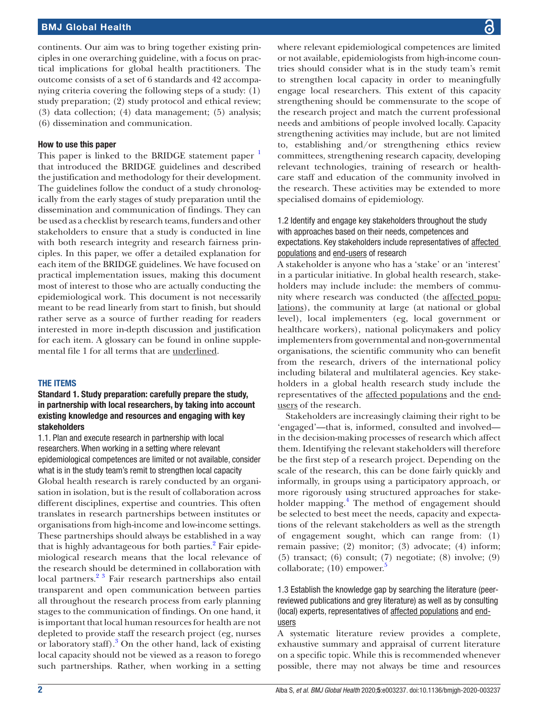continents. Our aim was to bring together existing principles in one overarching guideline, with a focus on practical implications for global health practitioners. The outcome consists of a set of 6 standards and 42 accompanying criteria covering the following steps of a study: (1) study preparation; (2) study protocol and ethical review; (3) data collection; (4) data management; (5) analysis; (6) dissemination and communication.

#### How to use this paper

This paper is linked to the BRIDGE statement paper <sup>[1](#page-13-0)</sup> that introduced the BRIDGE guidelines and described the justification and methodology for their development. The guidelines follow the conduct of a study chronologically from the early stages of study preparation until the dissemination and communication of findings. They can be used as a checklist by research teams, funders and other stakeholders to ensure that a study is conducted in line with both research integrity and research fairness principles. In this paper, we offer a detailed explanation for each item of the BRIDGE guidelines. We have focused on practical implementation issues, making this document most of interest to those who are actually conducting the epidemiological work. This document is not necessarily meant to be read linearly from start to finish, but should rather serve as a source of further reading for readers interested in more in-depth discussion and justification for each item. A glossary can be found in online supplemental file 1 for all terms that are underlined.

#### THE ITEMS

#### Standard 1. Study preparation: carefully prepare the study, in partnership with local researchers, by taking into account existing knowledge and resources and engaging with key stakeholders

1.1. Plan and execute research in partnership with local researchers. When working in a setting where relevant epidemiological competences are limited or not available, consider what is in the study team's remit to strengthen local capacity Global health research is rarely conducted by an organisation in isolation, but is the result of collaboration across different disciplines, expertise and countries. This often translates in research partnerships between institutes or organisations from high-income and low-income settings. These partnerships should always be established in a way that is highly advantageous for both parties.<sup>[2](#page-13-1)</sup> Fair epidemiological research means that the local relevance of the research should be determined in collaboration with local partners.<sup>2</sup> <sup>3</sup> Fair research partnerships also entail transparent and open communication between parties all throughout the research process from early planning stages to the communication of findings. On one hand, it is important that local human resources for health are not depleted to provide staff the research project (eg, nurses or laboratory staff).<sup>[3](#page-13-2)</sup> On the other hand, lack of existing local capacity should not be viewed as a reason to forego such partnerships. Rather, when working in a setting

where relevant epidemiological competences are limited or not available, epidemiologists from high-income countries should consider what is in the study team's remit to strengthen local capacity in order to meaningfully engage local researchers. This extent of this capacity strengthening should be commensurate to the scope of the research project and match the current professional needs and ambitions of people involved locally. Capacity strengthening activities may include, but are not limited to, establishing and/or strengthening ethics review committees, strengthening research capacity, developing relevant technologies, training of research or healthcare staff and education of the community involved in the research. These activities may be extended to more specialised domains of epidemiology.

#### 1.2 Identify and engage key stakeholders throughout the study with approaches based on their needs, competences and expectations. Key stakeholders include representatives of affected populations and end-users of research

A stakeholder is anyone who has a 'stake' or an 'interest' in a particular initiative. In global health research, stakeholders may include include: the members of community where research was conducted (the affected populations), the community at large (at national or global level), local implementers (eg, local government or healthcare workers), national policymakers and policy implementers from governmental and non-governmental organisations, the scientific community who can benefit from the research, drivers of the international policy including bilateral and multilateral agencies. Key stakeholders in a global health research study include the representatives of the affected populations and the endusers of the research.

Stakeholders are increasingly claiming their right to be 'engaged'—that is, informed, consulted and involved in the decision-making processes of research which affect them. Identifying the relevant stakeholders will therefore be the first step of a research project. Depending on the scale of the research, this can be done fairly quickly and informally, in groups using a participatory approach, or more rigorously using structured approaches for stakeholder mapping.<sup>4</sup> The method of engagement should be selected to best meet the needs, capacity and expectations of the relevant stakeholders as well as the strength of engagement sought, which can range from: (1) remain passive; (2) monitor; (3) advocate; (4) inform; (5) transact; (6) consult; (7) negotiate; (8) involve; (9) collaborate;  $(10)$  empower.<sup>[5](#page-13-4)</sup>

### 1.3 Establish the knowledge gap by searching the literature (peerreviewed publications and grey literature) as well as by consulting (local) experts, representatives of affected populations and endusers

A systematic literature review provides a complete, exhaustive summary and appraisal of current literature on a specific topic. While this is recommended whenever possible, there may not always be time and resources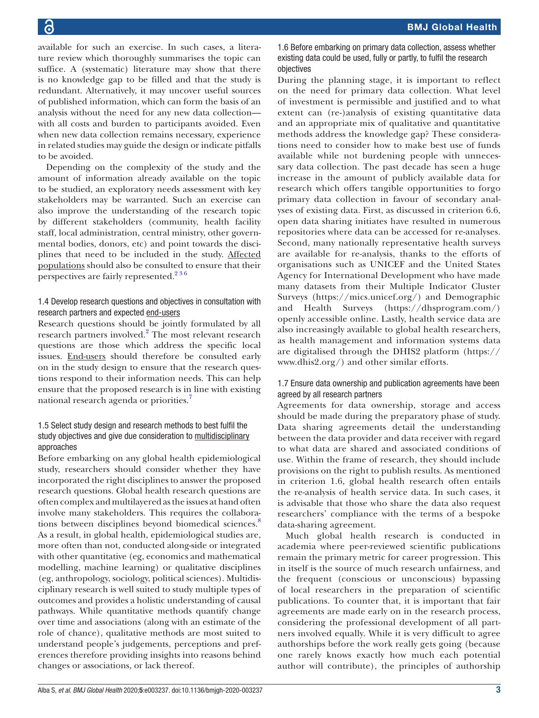available for such an exercise. In such cases, a literature review which thoroughly summarises the topic can suffice. A (systematic) literature may show that there is no knowledge gap to be filled and that the study is redundant. Alternatively, it may uncover useful sources of published information, which can form the basis of an analysis without the need for any new data collection with all costs and burden to participants avoided. Even when new data collection remains necessary, experience in related studies may guide the design or indicate pitfalls to be avoided.

Depending on the complexity of the study and the amount of information already available on the topic to be studied, an exploratory needs assessment with key stakeholders may be warranted. Such an exercise can also improve the understanding of the research topic by different stakeholders (community, health facility staff, local administration, central ministry, other governmental bodies, donors, etc) and point towards the disciplines that need to be included in the study. Affected populations should also be consulted to ensure that their perspectives are fairly represented.<sup>236</sup>

# 1.4 Develop research questions and objectives in consultation with research partners and expected end-users

Research questions should be jointly formulated by all research partners involved.<sup>[2](#page-13-1)</sup> The most relevant research questions are those which address the specific local issues. End-users should therefore be consulted early on in the study design to ensure that the research questions respond to their information needs. This can help ensure that the proposed research is in line with existing national research agenda or priorities.[7](#page-13-5)

# 1.5 Select study design and research methods to best fulfil the study objectives and give due consideration to multidisciplinary approaches

Before embarking on any global health epidemiological study, researchers should consider whether they have incorporated the right disciplines to answer the proposed research questions. Global health research questions are often complex and multilayered as the issues at hand often involve many stakeholders. This requires the collabora-tions between disciplines beyond biomedical sciences.<sup>[8](#page-13-6)</sup> As a result, in global health, epidemiological studies are, more often than not, conducted along-side or integrated with other quantitative (eg, economics and mathematical modelling, machine learning) or qualitative disciplines (eg, anthropology, sociology, political sciences). Multidisciplinary research is well suited to study multiple types of outcomes and provides a holistic understanding of causal pathways. While quantitative methods quantify change over time and associations (along with an estimate of the role of chance), qualitative methods are most suited to understand people's judgements, perceptions and preferences therefore providing insights into reasons behind changes or associations, or lack thereof.

1.6 Before embarking on primary data collection, assess whether existing data could be used, fully or partly, to fulfil the research objectives

During the planning stage, it is important to reflect on the need for primary data collection. What level of investment is permissible and justified and to what extent can (re-)analysis of existing quantitative data and an appropriate mix of qualitative and quantitative methods address the knowledge gap? These considerations need to consider how to make best use of funds available while not burdening people with unnecessary data collection. The past decade has seen a huge increase in the amount of publicly available data for research which offers tangible opportunities to forgo primary data collection in favour of secondary analyses of existing data. First, as discussed in criterion 6.6, open data sharing initiates have resulted in numerous repositories where data can be accessed for re-analyses. Second, many nationally representative health surveys are available for re-analysis, thanks to the efforts of organisations such as UNICEF and the United States Agency for International Development who have made many datasets from their Multiple Indicator Cluster Surveys [\(https://mics.unicef.org/\)](https://mics.unicef.org/) and Demographic and Health Surveys ([https://dhsprogram.com/\)](https://dhsprogram.com/) openly accessible online. Lastly, health service data are also increasingly available to global health researchers, as health management and information systems data are digitalised through the DHIS2 platform [\(https://](https://www.dhis2.org/) [www.dhis2.org/\)](https://www.dhis2.org/) and other similar efforts.

# 1.7 Ensure data ownership and publication agreements have been agreed by all research partners

Agreements for data ownership, storage and access should be made during the preparatory phase of study. Data sharing agreements detail the understanding between the data provider and data receiver with regard to what data are shared and associated conditions of use. Within the frame of research, they should include provisions on the right to publish results. As mentioned in criterion 1.6, global health research often entails the re-analysis of health service data. In such cases, it is advisable that those who share the data also request researchers' compliance with the terms of a bespoke data-sharing agreement.

Much global health research is conducted in academia where peer-reviewed scientific publications remain the primary metric for career progression. This in itself is the source of much research unfairness, and the frequent (conscious or unconscious) bypassing of local researchers in the preparation of scientific publications. To counter that, it is important that fair agreements are made early on in the research process, considering the professional development of all partners involved equally. While it is very difficult to agree authorships before the work really gets going (because one rarely knows exactly how much each potential author will contribute), the principles of authorship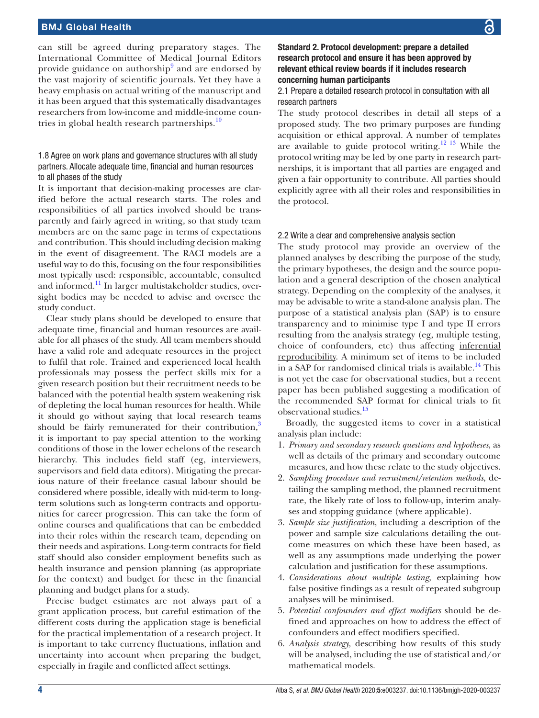can still be agreed during preparatory stages. The International Committee of Medical Journal Editors provide guidance on authorship<sup>[9](#page-13-7)</sup> and are endorsed by the vast majority of scientific journals. Yet they have a heavy emphasis on actual writing of the manuscript and it has been argued that this systematically disadvantages researchers from low-income and middle-income coun-tries in global health research partnerships.<sup>[10](#page-13-8)</sup>

#### 1.8 Agree on work plans and governance structures with all study partners. Allocate adequate time, financial and human resources to all phases of the study

It is important that decision-making processes are clarified before the actual research starts. The roles and responsibilities of all parties involved should be transparently and fairly agreed in writing, so that study team members are on the same page in terms of expectations and contribution. This should including decision making in the event of disagreement. The RACI models are a useful way to do this, focusing on the four responsibilities most typically used: responsible, accountable, consulted and informed.<sup>11</sup> In larger multistakeholder studies, oversight bodies may be needed to advise and oversee the study conduct.

Clear study plans should be developed to ensure that adequate time, financial and human resources are available for all phases of the study. All team members should have a valid role and adequate resources in the project to fulfil that role. Trained and experienced local health professionals may possess the perfect skills mix for a given research position but their recruitment needs to be balanced with the potential health system weakening risk of depleting the local human resources for health. While it should go without saying that local research teams should be fairly remunerated for their contribution, $3$ it is important to pay special attention to the working conditions of those in the lower echelons of the research hierarchy. This includes field staff (eg, interviewers, supervisors and field data editors). Mitigating the precarious nature of their freelance casual labour should be considered where possible, ideally with mid-term to longterm solutions such as long-term contracts and opportunities for career progression. This can take the form of online courses and qualifications that can be embedded into their roles within the research team, depending on their needs and aspirations. Long-term contracts for field staff should also consider employment benefits such as health insurance and pension planning (as appropriate for the context) and budget for these in the financial planning and budget plans for a study.

Precise budget estimates are not always part of a grant application process, but careful estimation of the different costs during the application stage is beneficial for the practical implementation of a research project. It is important to take currency fluctuations, inflation and uncertainty into account when preparing the budget, especially in fragile and conflicted affect settings.

Standard 2. Protocol development: prepare a detailed research protocol and ensure it has been approved by relevant ethical review boards if it includes research concerning human participants

2.1 Prepare a detailed research protocol in consultation with all research partners

The study protocol describes in detail all steps of a proposed study. The two primary purposes are funding acquisition or ethical approval. A number of templates are available to guide protocol writing.[12 13](#page-13-10) While the protocol writing may be led by one party in research partnerships, it is important that all parties are engaged and given a fair opportunity to contribute. All parties should explicitly agree with all their roles and responsibilities in the protocol.

#### 2.2 Write a clear and comprehensive analysis section

The study protocol may provide an overview of the planned analyses by describing the purpose of the study, the primary hypotheses, the design and the source population and a general description of the chosen analytical strategy. Depending on the complexity of the analyses, it may be advisable to write a stand-alone analysis plan. The purpose of a statistical analysis plan (SAP) is to ensure transparency and to minimise type I and type II errors resulting from the analysis strategy (eg, multiple testing, choice of confounders, etc) thus affecting inferential reproducibility. A minimum set of items to be included in a SAP for randomised clinical trials is available.<sup>14</sup> This is not yet the case for observational studies, but a recent paper has been published suggesting a modification of the recommended SAP format for clinical trials to fit observational studies.<sup>[15](#page-13-12)</sup>

Broadly, the suggested items to cover in a statistical analysis plan include:

- 1. *Primary and secondary research questions and hypotheses*, as well as details of the primary and secondary outcome measures, and how these relate to the study objectives.
- 2. *Sampling procedure and recruitment/retention methods*, detailing the sampling method, the planned recruitment rate, the likely rate of loss to follow-up, interim analyses and stopping guidance (where applicable).
- 3. *Sample size justification*, including a description of the power and sample size calculations detailing the outcome measures on which these have been based, as well as any assumptions made underlying the power calculation and justification for these assumptions.
- 4. *Considerations about multiple testing*, explaining how false positive findings as a result of repeated subgroup analyses will be minimised.
- 5. *Potential confounders and effect modifiers* should be defined and approaches on how to address the effect of confounders and effect modifiers specified.
- 6. *Analysis strategy,* describing how results of this study will be analysed, including the use of statistical and/or mathematical models.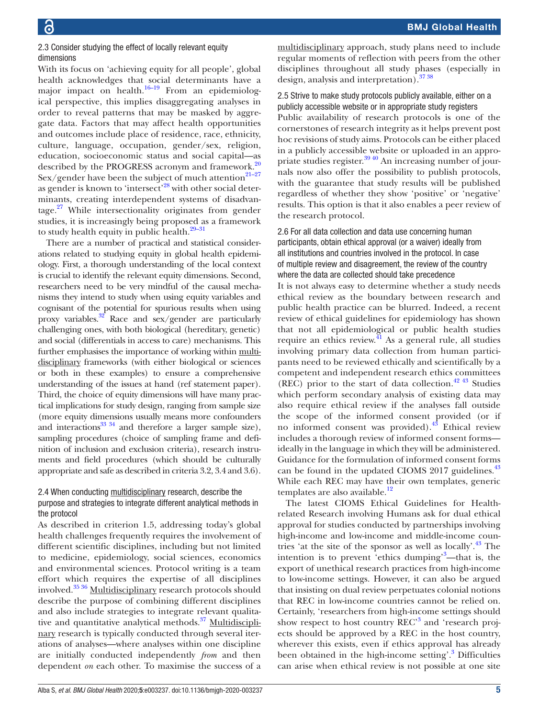#### 2.3 Consider studying the effect of locally relevant equity dimensions

With its focus on 'achieving equity for all people', global health acknowledges that social determinants have a major impact on health. $16-19$  From an epidemiological perspective, this implies disaggregating analyses in order to reveal patterns that may be masked by aggregate data. Factors that may affect health opportunities and outcomes include place of residence, race, ethnicity, culture, language, occupation, gender/sex, religion, education, socioeconomic status and social capital—as described by the PROGRESS acronym and framework.<sup>20</sup> Sex/gender have been the subject of much attention $^{21-27}$ as gender is known to 'intersect'<sup>28</sup> with other social determinants, creating interdependent systems of disadvantage.[27](#page-13-17) While intersectionality originates from gender studies, it is increasingly being proposed as a framework to study health equity in public health.<sup>29-31</sup>

There are a number of practical and statistical considerations related to studying equity in global health epidemiology. First, a thorough understanding of the local context is crucial to identify the relevant equity dimensions. Second, researchers need to be very mindful of the causal mechanisms they intend to study when using equity variables and cognisant of the potential for spurious results when using proxy variables. $32$  Race and sex/gender are particularly challenging ones, with both biological (hereditary, genetic) and social (differentials in access to care) mechanisms. This further emphasises the importance of working within multidisciplinary frameworks (with either biological or sciences or both in these examples) to ensure a comprehensive understanding of the issues at hand (ref statement paper). Third, the choice of equity dimensions will have many practical implications for study design, ranging from sample size (more equity dimensions usually means more confounders and interactions<sup>33 34</sup> and therefore a larger sample size), sampling procedures (choice of sampling frame and definition of inclusion and exclusion criteria), research instruments and field procedures (which should be culturally appropriate and safe as described in criteria 3.2, 3.4 and 3.6).

# 2.4 When conducting multidisciplinary research, describe the purpose and strategies to integrate different analytical methods in the protocol

As described in criterion 1.5, addressing today's global health challenges frequently requires the involvement of different scientific disciplines, including but not limited to medicine, epidemiology, social sciences, economics and environmental sciences. Protocol writing is a team effort which requires the expertise of all disciplines involved.[35 36](#page-13-21) Multidisciplinary research protocols should describe the purpose of combining different disciplines and also include strategies to integrate relevant qualitative and quantitative analytical methods.<sup>37</sup> Multidisciplinary research is typically conducted through several iterations of analyses—where analyses within one discipline are initially conducted independently *from* and then dependent *on* each other. To maximise the success of a

multidisciplinary approach, study plans need to include regular moments of reflection with peers from the other disciplines throughout all study phases (especially in design, analysis and interpretation)[.37 38](#page-13-22)

2.5 Strive to make study protocols publicly available, either on a publicly accessible website or in appropriate study registers Public availability of research protocols is one of the cornerstones of research integrity as it helps prevent post hoc revisions of study aims. Protocols can be either placed in a publicly accessible website or uploaded in an appropriate studies register. $39\frac{40}{2}$  An increasing number of journals now also offer the possibility to publish protocols, with the guarantee that study results will be published regardless of whether they show 'positive' or 'negative' results. This option is that it also enables a peer review of the research protocol.

# 2.6 For all data collection and data use concerning human participants, obtain ethical approval (or a waiver) ideally from all institutions and countries involved in the protocol. In case of multiple review and disagreement, the review of the country where the data are collected should take precedence

It is not always easy to determine whether a study needs ethical review as the boundary between research and public health practice can be blurred. Indeed, a recent review of ethical guidelines for epidemiology has shown that not all epidemiological or public health studies require an ethics review. $^{41}$  As a general rule, all studies involving primary data collection from human participants need to be reviewed ethically and scientifically by a competent and independent research ethics committees (REC) prior to the start of data collection. $42\frac{43}{13}$  Studies which perform secondary analysis of existing data may also require ethical review if the analyses fall outside the scope of the informed consent provided (or if no informed consent was provided)[.43](#page-13-26) Ethical review includes a thorough review of informed consent forms ideally in the language in which they will be administered. Guidance for the formulation of informed consent forms can be found in the updated CIOMS  $2017$  guidelines.<sup>43</sup> While each REC may have their own templates, generic templates are also available.<sup>[12](#page-13-10)</sup>

The latest CIOMS Ethical Guidelines for Healthrelated Research involving Humans ask for dual ethical approval for studies conducted by partnerships involving high-income and low-income and middle-income coun-tries 'at the site of the sponsor as well as locally'.<sup>[43](#page-13-26)</sup> The intention is to prevent 'ethics dumping'<sup>[3](#page-13-2)</sup>—that is, the export of unethical research practices from high-income to low-income settings. However, it can also be argued that insisting on dual review perpetuates colonial notions that REC in low-income countries cannot be relied on. Certainly, 'researchers from high-income settings should show respect to host country REC<sup>[3](#page-13-2)</sup> and 'research projects should be approved by a REC in the host country, wherever this exists, even if ethics approval has already been obtained in the high-income setting'.<sup>[3](#page-13-2)</sup> Difficulties can arise when ethical review is not possible at one site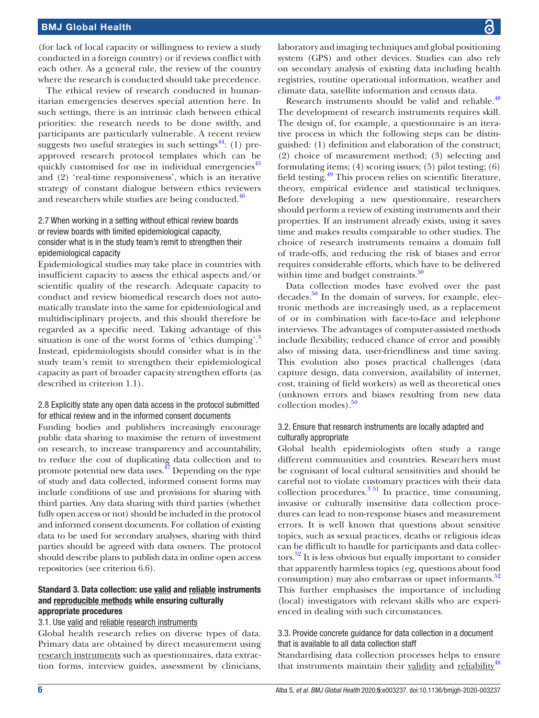(for lack of local capacity or willingness to review a study conducted in a foreign country) or if reviews conflict with each other. As a general rule, the review of the country where the research is conducted should take precedence.

The ethical review of research conducted in humanitarian emergencies deserves special attention here. In such settings, there is an intrinsic clash between ethical priorities: the research needs to be done swiftly, and participants are particularly vulnerable. A recent review suggests two useful strategies in such settings<sup>44</sup>: (1) preapproved research protocol templates which can be quickly customised for use in individual emergencies<sup>[45](#page-13-28)</sup> and (2) 'real-time responsiveness', which is an iterative strategy of constant dialogue between ethics reviewers and researchers while studies are being conducted.<sup>46</sup>

### 2.7 When working in a setting without ethical review boards or review boards with limited epidemiological capacity, consider what is in the study team's remit to strengthen their epidemiological capacity

Epidemiological studies may take place in countries with insufficient capacity to assess the ethical aspects and/or scientific quality of the research. Adequate capacity to conduct and review biomedical research does not automatically translate into the same for epidemiological and multidisciplinary projects, and this should therefore be regarded as a specific need. Taking advantage of this situation is one of the worst forms of 'ethics dumping'.<sup>[3](#page-13-2)</sup> Instead, epidemiologists should consider what is in the study team's remit to strengthen their epidemiological capacity as part of broader capacity strengthen efforts (as described in criterion 1.1).

#### 2.8 Explicitly state any open data access in the protocol submitted for ethical review and in the informed consent documents

Funding bodies and publishers increasingly encourage public data sharing to maximise the return of investment on research, to increase transparency and accountability, to reduce the cost of duplicating data collection and to promote potential new data uses. $47$  Depending on the type of study and data collected, informed consent forms may include conditions of use and provisions for sharing with third parties. Any data sharing with third parties (whether fully open access or not) should be included in the protocol and informed consent documents. For collation of existing data to be used for secondary analyses, sharing with third parties should be agreed with data owners. The protocol should describe plans to publish data in online open access repositories (see criterion 6.6).

#### Standard 3. Data collection: use valid and reliable instruments and reproducible methods while ensuring culturally appropriate procedures

#### 3.1. Use valid and reliable research instruments

Global health research relies on diverse types of data. Primary data are obtained by direct measurement using research instruments such as questionnaires, data extraction forms, interview guides, assessment by clinicians,

laboratory and imaging techniques and global positioning system (GPS) and other devices. Studies can also rely on secondary analysis of existing data including health registries, routine operational information, weather and climate data, satellite information and census data.

Research instruments should be valid and reliable.<sup>[48](#page-13-31)</sup> The development of research instruments requires skill. The design of, for example, a questionnaire is an iterative process in which the following steps can be distinguished: (1) definition and elaboration of the construct; (2) choice of measurement method; (3) selecting and formulating items; (4) scoring issues; (5) pilot testing; (6) field testing[.49](#page-14-0) This process relies on scientific literature, theory, empirical evidence and statistical techniques. Before developing a new questionnaire, researchers should perform a review of existing instruments and their properties. If an instrument already exists, using it saves time and makes results comparable to other studies. The choice of research instruments remains a domain full of trade-offs, and reducing the risk of biases and error requires considerable efforts, which have to be delivered within time and budget constraints. $50$ 

Data collection modes have evolved over the past decades.<sup>50</sup> In the domain of surveys, for example, electronic methods are increasingly used, as a replacement of or in combination with face-to-face and telephone interviews. The advantages of computer-assisted methods include flexibility, reduced chance of error and possibly also of missing data, user-friendliness and time saving. This evolution also poses practical challenges (data capture design, data conversion, availability of internet, cost, training of field workers) as well as theoretical ones (unknown errors and biases resulting from new data  $\text{collection modes}$ ).<sup>50</sup>

#### 3.2. Ensure that research instruments are locally adapted and culturally appropriate

Global health epidemiologists often study a range different communities and countries. Researchers must be cognisant of local cultural sensitivities and should be careful not to violate customary practices with their data collection procedures.<sup>3 51</sup> In practice, time consuming, invasive or culturally insensitive data collection procedures can lead to non-response biases and measurement errors. It is well known that questions about sensitive topics, such as sexual practices, deaths or religious ideas can be difficult to handle for participants and data collectors.<sup>52</sup> It is less obvious but equally important to consider that apparently harmless topics (eg, questions about food consumption) may also embarrass or upset informants.<sup>[52](#page-14-2)</sup> This further emphasises the importance of including (local) investigators with relevant skills who are experienced in dealing with such circumstances.

#### 3.3. Provide concrete guidance for data collection in a document that is available to all data collection staff

Standardising data collection processes helps to ensure that instruments maintain their validity and reliability<sup>[48](#page-13-31)</sup>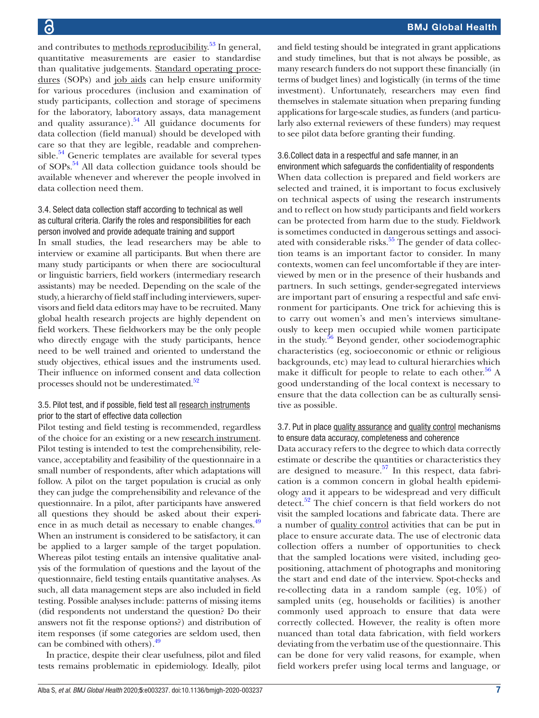and contributes to <u>methods reproducibility.<sup>[53](#page-14-3)</sup> In g</u>eneral, quantitative measurements are easier to standardise than qualitative judgements. Standard operating procedures (SOPs) and job aids can help ensure uniformity for various procedures (inclusion and examination of study participants, collection and storage of specimens for the laboratory, laboratory assays, data management and quality assurance). $54$  All guidance documents for data collection (field manual) should be developed with care so that they are legible, readable and comprehensible. $54$  Generic templates are available for several types of SOPs[.54](#page-14-4) All data collection guidance tools should be available whenever and wherever the people involved in data collection need them.

#### 3.4. Select data collection staff according to technical as well as cultural criteria. Clarify the roles and responsibilities for each person involved and provide adequate training and support

In small studies, the lead researchers may be able to interview or examine all participants. But when there are many study participants or when there are sociocultural or linguistic barriers, field workers (intermediary research assistants) may be needed. Depending on the scale of the study, a hierarchy of field staff including interviewers, supervisors and field data editors may have to be recruited. Many global health research projects are highly dependent on field workers. These fieldworkers may be the only people who directly engage with the study participants, hence need to be well trained and oriented to understand the study objectives, ethical issues and the instruments used. Their influence on informed consent and data collection processes should not be underestimated.<sup>[52](#page-14-2)</sup>

#### 3.5. Pilot test, and if possible, field test all research instruments prior to the start of effective data collection

Pilot testing and field testing is recommended, regardless of the choice for an existing or a new research instrument. Pilot testing is intended to test the comprehensibility, relevance, acceptability and feasibility of the questionnaire in a small number of respondents, after which adaptations will follow. A pilot on the target population is crucial as only they can judge the comprehensibility and relevance of the questionnaire. In a pilot, after participants have answered all questions they should be asked about their experi-ence in as much detail as necessary to enable changes.<sup>[49](#page-14-0)</sup> When an instrument is considered to be satisfactory, it can be applied to a larger sample of the target population. Whereas pilot testing entails an intensive qualitative analysis of the formulation of questions and the layout of the questionnaire, field testing entails quantitative analyses. As such, all data management steps are also included in field testing. Possible analyses include: patterns of missing items (did respondents not understand the question? Do their answers not fit the response options?) and distribution of item responses (if some categories are seldom used, then can be combined with others).<sup>[49](#page-14-0)</sup>

In practice, despite their clear usefulness, pilot and filed tests remains problematic in epidemiology. Ideally, pilot

and field testing should be integrated in grant applications and study timelines, but that is not always be possible, as many research funders do not support these financially (in terms of budget lines) and logistically (in terms of the time investment). Unfortunately, researchers may even find themselves in stalemate situation when preparing funding applications for large-scale studies, as funders (and particularly also external reviewers of these funders) may request to see pilot data before granting their funding.

# 3.6.Collect data in a respectful and safe manner, in an

environment which safeguards the confidentiality of respondents When data collection is prepared and field workers are selected and trained, it is important to focus exclusively on technical aspects of using the research instruments and to reflect on how study participants and field workers can be protected from harm due to the study. Fieldwork is sometimes conducted in dangerous settings and associated with considerable risks. $55$  The gender of data collection teams is an important factor to consider. In many contexts, women can feel uncomfortable if they are interviewed by men or in the presence of their husbands and partners. In such settings, gender-segregated interviews are important part of ensuring a respectful and safe environment for participants. One trick for achieving this is to carry out women's and men's interviews simultaneously to keep men occupied while women participate in the study.<sup>56</sup> Beyond gender, other sociodemographic characteristics (eg, socioeconomic or ethnic or religious backgrounds, etc) may lead to cultural hierarchies which make it difficult for people to relate to each other.<sup>56</sup> A good understanding of the local context is necessary to ensure that the data collection can be as culturally sensitive as possible.

#### 3.7. Put in place quality assurance and quality control mechanisms to ensure data accuracy, completeness and coherence

Data accuracy refers to the degree to which data correctly estimate or describe the quantities or characteristics they are designed to measure.<sup>57</sup> In this respect, data fabrication is a common concern in global health epidemiology and it appears to be widespread and very difficult detect.<sup>52</sup> The chief concern is that field workers do not visit the sampled locations and fabricate data. There are a number of quality control activities that can be put in place to ensure accurate data. The use of electronic data collection offers a number of opportunities to check that the sampled locations were visited, including geopositioning, attachment of photographs and monitoring the start and end date of the interview. Spot-checks and re-collecting data in a random sample (eg, 10%) of sampled units (eg, households or facilities) is another commonly used approach to ensure that data were correctly collected. However, the reality is often more nuanced than total data fabrication, with field workers deviating from the verbatim use of the questionnaire. This can be done for very valid reasons, for example, when field workers prefer using local terms and language, or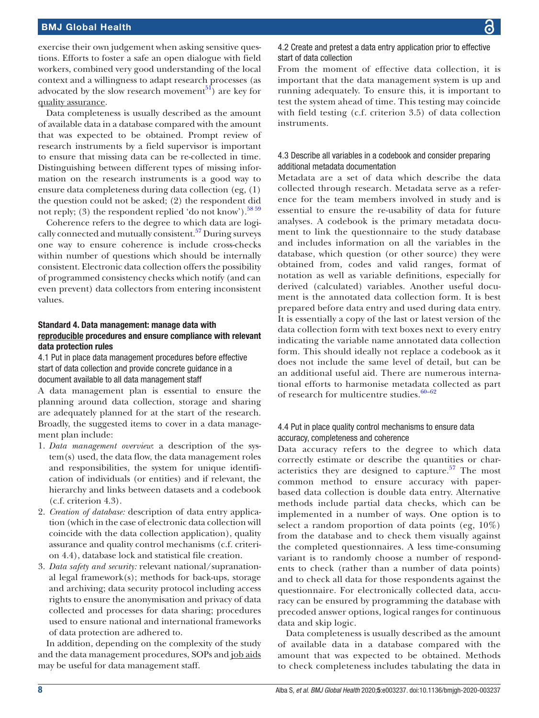exercise their own judgement when asking sensitive questions. Efforts to foster a safe an open dialogue with field workers, combined very good understanding of the local context and a willingness to adapt research processes (as advocated by the slow research movement<sup>51</sup>) are key for quality assurance.

Data completeness is usually described as the amount of available data in a database compared with the amount that was expected to be obtained. Prompt review of research instruments by a field supervisor is important to ensure that missing data can be re-collected in time. Distinguishing between different types of missing information on the research instruments is a good way to ensure data completeness during data collection (eg, (1) the question could not be asked; (2) the respondent did not reply; (3) the respondent replied 'do not know').<sup>[58 59](#page-14-9)</sup>

Coherence refers to the degree to which data are logically connected and mutually consistent.[57](#page-14-7) During surveys one way to ensure coherence is include cross-checks within number of questions which should be internally consistent. Electronic data collection offers the possibility of programmed consistency checks which notify (and can even prevent) data collectors from entering inconsistent values.

#### Standard 4. Data management: manage data with reproducible procedures and ensure compliance with relevant data protection rules

4.1 Put in place data management procedures before effective start of data collection and provide concrete guidance in a document available to all data management staff

A data management plan is essential to ensure the planning around data collection, storage and sharing are adequately planned for at the start of the research. Broadly, the suggested items to cover in a data management plan include:

- 1. *Data management overview*: a description of the system(s) used, the data flow, the data management roles and responsibilities, the system for unique identification of individuals (or entities) and if relevant, the hierarchy and links between datasets and a codebook (c.f. criterion 4.3).
- 2. *Creation of database:* description of data entry application (which in the case of electronic data collection will coincide with the data collection application), quality assurance and quality control mechanisms (c.f. criterion 4.4), database lock and statistical file creation.
- 3. *Data safety and security:* relevant national/supranational legal framework(s); methods for back-ups, storage and archiving; data security protocol including access rights to ensure the anonymisation and privacy of data collected and processes for data sharing; procedures used to ensure national and international frameworks of data protection are adhered to.

In addition, depending on the complexity of the study and the data management procedures, SOPs and job aids may be useful for data management staff.

4.2 Create and pretest a data entry application prior to effective start of data collection

From the moment of effective data collection, it is important that the data management system is up and running adequately. To ensure this, it is important to test the system ahead of time. This testing may coincide with field testing (c.f. criterion 3.5) of data collection instruments.

#### 4.3 Describe all variables in a codebook and consider preparing additional metadata documentation

Metadata are a set of data which describe the data collected through research. Metadata serve as a reference for the team members involved in study and is essential to ensure the re-usability of data for future analyses. A codebook is the primary metadata document to link the questionnaire to the study database and includes information on all the variables in the database, which question (or other source) they were obtained from, codes and valid ranges, format of notation as well as variable definitions, especially for derived (calculated) variables. Another useful document is the annotated data collection form. It is best prepared before data entry and used during data entry. It is essentially a copy of the last or latest version of the data collection form with text boxes next to every entry indicating the variable name annotated data collection form. This should ideally not replace a codebook as it does not include the same level of detail, but can be an additional useful aid. There are numerous international efforts to harmonise metadata collected as part of research for multicentre studies. $60-62$ 

#### 4.4 Put in place quality control mechanisms to ensure data accuracy, completeness and coherence

Data accuracy refers to the degree to which data correctly estimate or describe the quantities or characteristics they are designed to capture.<sup>57</sup> The most common method to ensure accuracy with paperbased data collection is double data entry. Alternative methods include partial data checks, which can be implemented in a number of ways. One option is to select a random proportion of data points (eg, 10%) from the database and to check them visually against the completed questionnaires. A less time-consuming variant is to randomly choose a number of respondents to check (rather than a number of data points) and to check all data for those respondents against the questionnaire. For electronically collected data, accuracy can be ensured by programming the database with precoded answer options, logical ranges for continuous data and skip logic.

Data completeness is usually described as the amount of available data in a database compared with the amount that was expected to be obtained. Methods to check completeness includes tabulating the data in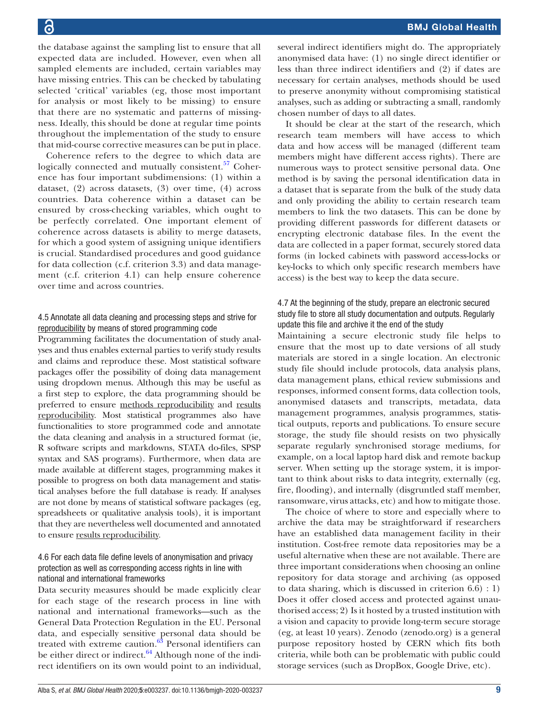the database against the sampling list to ensure that all expected data are included. However, even when all sampled elements are included, certain variables may have missing entries. This can be checked by tabulating selected 'critical' variables (eg, those most important for analysis or most likely to be missing) to ensure that there are no systematic and patterns of missingness. Ideally, this should be done at regular time points throughout the implementation of the study to ensure that mid-course corrective measures can be put in place.

Coherence refers to the degree to which data are logically connected and mutually consistent.<sup>57</sup> Coherence has four important subdimensions: (1) within a dataset, (2) across datasets, (3) over time, (4) across countries. Data coherence within a dataset can be ensured by cross-checking variables, which ought to be perfectly correlated. One important element of coherence across datasets is ability to merge datasets, for which a good system of assigning unique identifiers is crucial. Standardised procedures and good guidance for data collection (c.f. criterion 3.3) and data management (c.f. criterion 4.1) can help ensure coherence over time and across countries.

#### 4.5 Annotate all data cleaning and processing steps and strive for reproducibility by means of stored programming code

Programming facilitates the documentation of study analyses and thus enables external parties to verify study results and claims and reproduce these. Most statistical software packages offer the possibility of doing data management using dropdown menus. Although this may be useful as a first step to explore, the data programming should be preferred to ensure methods reproducibility and results reproducibility. Most statistical programmes also have functionalities to store programmed code and annotate the data cleaning and analysis in a structured format (ie, R software scripts and markdowns, STATA do-files, SPSP syntax and SAS programs). Furthermore, when data are made available at different stages, programming makes it possible to progress on both data management and statistical analyses before the full database is ready. If analyses are not done by means of statistical software packages (eg, spreadsheets or qualitative analysis tools), it is important that they are nevertheless well documented and annotated to ensure results reproducibility.

## 4.6 For each data file define levels of anonymisation and privacy protection as well as corresponding access rights in line with national and international frameworks

Data security measures should be made explicitly clear for each stage of the research process in line with national and international frameworks—such as the General Data Protection Regulation in the EU. Personal data, and especially sensitive personal data should be treated with extreme caution. $63$  Personal identifiers can be either direct or indirect. $64$  Although none of the indirect identifiers on its own would point to an individual, several indirect identifiers might do. The appropriately anonymised data have: (1) no single direct identifier or less than three indirect identifiers and (2) if dates are necessary for certain analyses, methods should be used to preserve anonymity without compromising statistical analyses, such as adding or subtracting a small, randomly chosen number of days to all dates.

It should be clear at the start of the research, which research team members will have access to which data and how access will be managed (different team members might have different access rights). There are numerous ways to protect sensitive personal data. One method is by saving the personal identification data in a dataset that is separate from the bulk of the study data and only providing the ability to certain research team members to link the two datasets. This can be done by providing different passwords for different datasets or encrypting electronic database files. In the event the data are collected in a paper format, securely stored data forms (in locked cabinets with password access-locks or key-locks to which only specific research members have access) is the best way to keep the data secure.

# 4.7 At the beginning of the study, prepare an electronic secured study file to store all study documentation and outputs. Regularly update this file and archive it the end of the study

Maintaining a secure electronic study file helps to ensure that the most up to date versions of all study materials are stored in a single location. An electronic study file should include protocols, data analysis plans, data management plans, ethical review submissions and responses, informed consent forms, data collection tools, anonymised datasets and transcripts, metadata, data management programmes, analysis programmes, statistical outputs, reports and publications. To ensure secure storage, the study file should resists on two physically separate regularly synchronised storage mediums, for example, on a local laptop hard disk and remote backup server. When setting up the storage system, it is important to think about risks to data integrity, externally (eg, fire, flooding), and internally (disgruntled staff member, ransomware, virus attacks, etc) and how to mitigate those.

The choice of where to store and especially where to archive the data may be straightforward if researchers have an established data management facility in their institution. Cost-free remote data repositories may be a useful alternative when these are not available. There are three important considerations when choosing an online repository for data storage and archiving (as opposed to data sharing, which is discussed in criterion 6.6) : 1) Does it offer closed access and protected against unauthorised access; 2) Is it hosted by a trusted institution with a vision and capacity to provide long-term secure storage (eg, at least 10 years). Zenodo (zenodo.org) is a general purpose repository hosted by CERN which fits both criteria, while both can be problematic with public could storage services (such as DropBox, Google Drive, etc).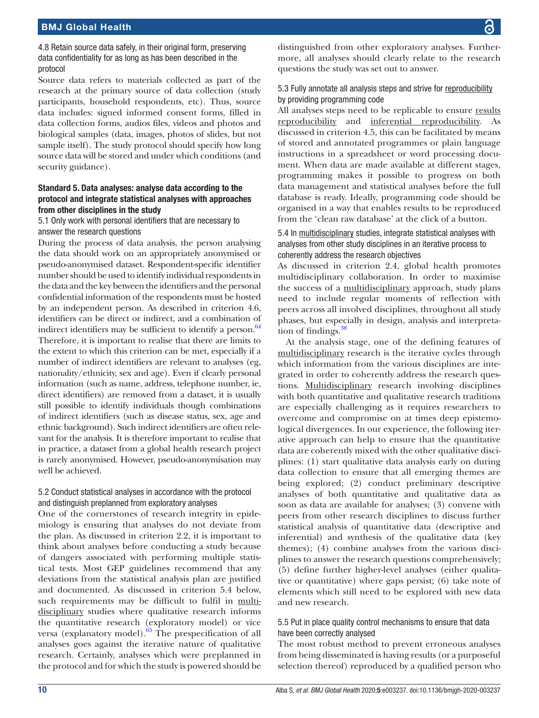4.8 Retain source data safely, in their original form, preserving data confidentiality for as long as has been described in the protocol

Source data refers to materials collected as part of the research at the primary source of data collection (study participants, household respondents, etc). Thus, source data includes: signed informed consent forms, filled in data collection forms, audios files, videos and photos and biological samples (data, images, photos of slides, but not sample itself). The study protocol should specify how long source data will be stored and under which conditions (and security guidance).

#### Standard 5. Data analyses: analyse data according to the protocol and integrate statistical analyses with approaches from other disciplines in the study

5.1 Only work with personal identifiers that are necessary to answer the research questions

During the process of data analysis, the person analysing the data should work on an appropriately anonymised or pseudo-anonymised dataset. Respondent-specific identifier number should be used to identify individual respondents in the data and the key between the identifiers and the personal confidential information of the respondents must be hosted by an independent person. As described in criterion 4.6, identifiers can be direct or indirect, and a combination of indirect identifiers may be sufficient to identify a person. $64$ Therefore, it is important to realise that there are limits to the extent to which this criterion can be met, especially if a number of indirect identifiers are relevant to analyses (eg, nationality/ethnicity, sex and age). Even if clearly personal information (such as name, address, telephone number, ie, direct identifiers) are removed from a dataset, it is usually still possible to identify individuals though combinations of indirect identifiers (such as disease status, sex, age and ethnic background). Such indirect identifiers are often relevant for the analysis. It is therefore important to realise that in practice, a dataset from a global health research project is rarely anonymised. However, pseudo-anonymisation may well be achieved.

#### 5.2 Conduct statistical analyses in accordance with the protocol and distinguish preplanned from exploratory analyses

One of the cornerstones of research integrity in epidemiology is ensuring that analyses do not deviate from the plan. As discussed in criterion 2.2, it is important to think about analyses before conducting a study because of dangers associated with performing multiple statistical tests. Most GEP guidelines recommend that any deviations from the statistical analysis plan are justified and documented. As discussed in criterion 5.4 below, such requirements may be difficult to fulfil in multidisciplinary studies where qualitative research informs the quantitative research (exploratory model) or vice versa (explanatory model)[.65](#page-14-13) The prespecification of all analyses goes against the iterative nature of qualitative research. Certainly, analyses which were preplanned in the protocol and for which the study is powered should be

distinguished from other exploratory analyses. Furthermore, all analyses should clearly relate to the research questions the study was set out to answer.

# 5.3 Fully annotate all analysis steps and strive for reproducibility by providing programming code

All analyses steps need to be replicable to ensure results reproducibility and inferential reproducibility. As discussed in criterion 4.5, this can be facilitated by means of stored and annotated programmes or plain language instructions in a spreadsheet or word processing document. When data are made available at different stages, programming makes it possible to progress on both data management and statistical analyses before the full database is ready. Ideally, programming code should be organised in a way that enables results to be reproduced from the 'clean raw database' at the click of a button.

#### 5.4 In multidisciplinary studies, integrate statistical analyses with analyses from other study disciplines in an iterative process to coherently address the research objectives

As discussed in criterion 2.4, global health promotes multidisciplinary collaboration. In order to maximise the success of a multidisciplinary approach, study plans need to include regular moments of reflection with peers across all involved disciplines, throughout all study phases, but especially in design, analysis and interpreta-tion of findings.<sup>[38](#page-13-32)</sup>

At the analysis stage, one of the defining features of multidisciplinary research is the iterative cycles through which information from the various disciplines are integrated in order to coherently address the research questions. Multidisciplinary research involving disciplines with both quantitative and qualitative research traditions are especially challenging as it requires researchers to overcome and compromise on at times deep epistemological divergences. In our experience, the following iterative approach can help to ensure that the quantitative data are coherently mixed with the other qualitative disciplines: (1) start qualitative data analysis early on during data collection to ensure that all emerging themes are being explored; (2) conduct preliminary descriptive analyses of both quantitative and qualitative data as soon as data are available for analyses; (3) convene with peers from other research disciplines to discuss further statistical analysis of quantitative data (descriptive and inferential) and synthesis of the qualitative data (key themes); (4) combine analyses from the various disciplines to answer the research questions comprehensively; (5) define further higher-level analyses (either qualitative or quantitative) where gaps persist; (6) take note of elements which still need to be explored with new data and new research.

#### 5.5 Put in place quality control mechanisms to ensure that data have been correctly analysed

The most robust method to prevent erroneous analyses from being disseminated is having results (or a purposeful selection thereof) reproduced by a qualified person who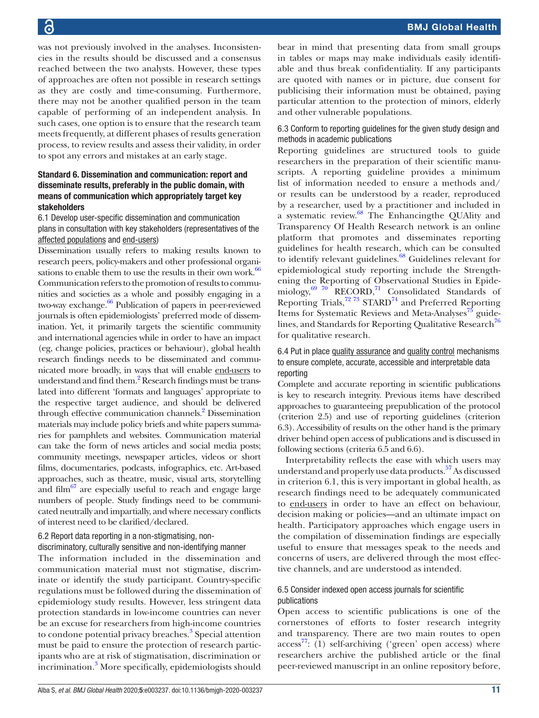was not previously involved in the analyses. Inconsistencies in the results should be discussed and a consensus reached between the two analysts. However, these types of approaches are often not possible in research settings as they are costly and time-consuming. Furthermore, there may not be another qualified person in the team capable of performing of an independent analysis. In such cases, one option is to ensure that the research team meets frequently, at different phases of results generation process, to review results and assess their validity, in order to spot any errors and mistakes at an early stage.

### Standard 6. Dissemination and communication: report and disseminate results, preferably in the public domain, with means of communication which appropriately target key stakeholders

6.1 Develop user-specific dissemination and communication plans in consultation with key stakeholders (representatives of the affected populations and end-users)

Dissemination usually refers to making results known to research peers, policy-makers and other professional organi-sations to enable them to use the results in their own work.<sup>[66](#page-14-14)</sup> Communication refers to the promotion of results to communities and societies as a whole and possibly engaging in a two-way exchange.<sup>66</sup> Publication of papers in peer-reviewed journals is often epidemiologists' preferred mode of dissemination. Yet, it primarily targets the scientific community and international agencies while in order to have an impact (eg, change policies, practices or behaviour), global health research findings needs to be disseminated and communicated more broadly, in ways that will enable end-users to understand and find them.<sup>2</sup> Research findings must be translated into different 'formats and languages' appropriate to the respective target audience, and should be delivered through effective communication channels.<sup>2</sup> Dissemination materials may include policy briefs and white papers summaries for pamphlets and websites. Communication material can take the form of news articles and social media posts; community meetings, newspaper articles, videos or short films, documentaries, podcasts, infographics, etc. Art-based approaches, such as theatre, music, visual arts, storytelling and film $^{67}$  are especially useful to reach and engage large numbers of people. Study findings need to be communicated neutrally and impartially, and where necessary conflicts of interest need to be clarified/declared.

# 6.2 Report data reporting in a non-stigmatising, nondiscriminatory, culturally sensitive and non-identifying manner

The information included in the dissemination and communication material must not stigmatise, discriminate or identify the study participant. Country-specific regulations must be followed during the dissemination of epidemiology study results. However, less stringent data protection standards in low-income countries can never be an excuse for researchers from high-income countries to condone potential privacy breaches.<sup>[3](#page-13-2)</sup> Special attention must be paid to ensure the protection of research participants who are at risk of stigmatisation, discrimination or incrimination.<sup>[3](#page-13-2)</sup> More specifically, epidemiologists should

bear in mind that presenting data from small groups in tables or maps may make individuals easily identifiable and thus break confidentiality. If any participants are quoted with names or in picture, due consent for publicising their information must be obtained, paying particular attention to the protection of minors, elderly and other vulnerable populations.

### 6.3 Conform to reporting guidelines for the given study design and methods in academic publications

Reporting guidelines are structured tools to guide researchers in the preparation of their scientific manuscripts. A reporting guideline provides a minimum list of information needed to ensure a methods and/ or results can be understood by a reader, reproduced by a researcher, used by a practitioner and included in a systematic review.[68](#page-14-16) The Enhancingthe QUAlity and Transparency Of Health Research network is an online platform that promotes and disseminates reporting guidelines for health research, which can be consulted to identify relevant guidelines.<sup>68</sup> Guidelines relevant for epidemiological study reporting include the Strengthening the Reporting of Observational Studies in Epidemiology,<sup>69</sup> 70 RECORD,<sup>71</sup> Consolidated Standards of Reporting Trials, $7273$  STARD<sup>74</sup> and Preferred Reporting Items for Systematic Reviews and Meta-Analyses<sup>75</sup> guidelines, and Standards for Reporting Qualitative Research<sup>76</sup> for qualitative research.

# 6.4 Put in place quality assurance and quality control mechanisms to ensure complete, accurate, accessible and interpretable data reporting

Complete and accurate reporting in scientific publications is key to research integrity. Previous items have described approaches to guaranteeing prepublication of the protocol (criterion 2.5) and use of reporting guidelines (criterion 6.3). Accessibility of results on the other hand is the primary driver behind open access of publications and is discussed in following sections (criteria 6.5 and 6.6).

Interpretability reflects the ease with which users may understand and properly use data products.<sup>57</sup> As discussed in criterion 6.1, this is very important in global health, as research findings need to be adequately communicated to end-users in order to have an effect on behaviour, decision making or policies—and an ultimate impact on health. Participatory approaches which engage users in the compilation of dissemination findings are especially useful to ensure that messages speak to the needs and concerns of users, are delivered through the most effective channels, and are understood as intended.

#### 6.5 Consider indexed open access journals for scientific publications

Open access to scientific publications is one of the cornerstones of efforts to foster research integrity and transparency. There are two main routes to open  $\arccos^{77}$ : (1) self-archiving ('green' open  $\arccos$ ) where researchers archive the published article or the final peer-reviewed manuscript in an online repository before,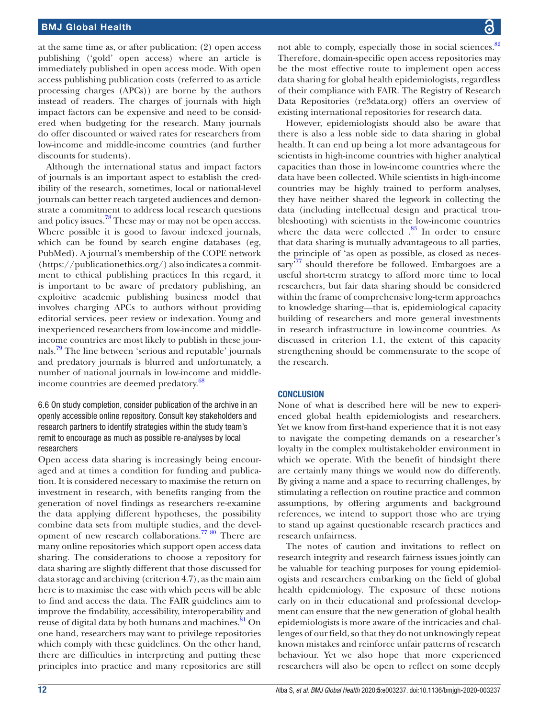at the same time as, or after publication; (2) open access publishing ('gold' open access) where an article is immediately published in open access mode. With open access publishing publication costs (referred to as article processing charges (APCs)) are borne by the authors instead of readers. The charges of journals with high impact factors can be expensive and need to be considered when budgeting for the research. Many journals do offer discounted or waived rates for researchers from low-income and middle-income countries (and further discounts for students).

Although the international status and impact factors of journals is an important aspect to establish the credibility of the research, sometimes, local or national-level journals can better reach targeted audiences and demonstrate a commitment to address local research questions and policy issues.<sup>78</sup> These may or may not be open access. Where possible it is good to favour indexed journals, which can be found by search engine databases (eg, PubMed). A journal's membership of the COPE network ([https://publicationethics.org/\)](https://publicationethics.org/) also indicates a commitment to ethical publishing practices In this regard, it is important to be aware of predatory publishing, an exploitive academic publishing business model that involves charging APCs to authors without providing editorial services, peer review or indexation. Young and inexperienced researchers from low-income and middleincome countries are most likely to publish in these journals.[79](#page-14-25) The line between 'serious and reputable' journals and predatory journals is blurred and unfortunately, a number of national journals in low-income and middleincome countries are deemed predatory.<sup>68</sup>

6.6 On study completion, consider publication of the archive in an openly accessible online repository. Consult key stakeholders and research partners to identify strategies within the study team's remit to encourage as much as possible re-analyses by local researchers

Open access data sharing is increasingly being encouraged and at times a condition for funding and publication. It is considered necessary to maximise the return on investment in research, with benefits ranging from the generation of novel findings as researchers re-examine the data applying different hypotheses, the possibility combine data sets from multiple studies, and the devel-opment of new research collaborations.<sup>[77 80](#page-14-23)</sup> There are many online repositories which support open access data sharing. The considerations to choose a repository for data sharing are slightly different that those discussed for data storage and archiving (criterion 4.7), as the main aim here is to maximise the ease with which peers will be able to find and access the data. The FAIR guidelines aim to improve the findability, accessibility, interoperability and reuse of digital data by both humans and machines.<sup>81</sup> On one hand, researchers may want to privilege repositories which comply with these guidelines. On the other hand, there are difficulties in interpreting and putting these principles into practice and many repositories are still

not able to comply, especially those in social sciences.<sup>[82](#page-14-27)</sup> Therefore, domain-specific open access repositories may be the most effective route to implement open access data sharing for global health epidemiologists, regardless of their compliance with FAIR. The Registry of Research Data Repositories (re3data.org) offers an overview of existing international repositories for research data.

However, epidemiologists should also be aware that there is also a less noble side to data sharing in global health. It can end up being a lot more advantageous for scientists in high-income countries with higher analytical capacities than those in low-income countries where the data have been collected. While scientists in high-income countries may be highly trained to perform analyses, they have neither shared the legwork in collecting the data (including intellectual design and practical troubleshooting) with scientists in the low-income countries where the data were collected .<sup>83</sup> In order to ensure that data sharing is mutually advantageous to all parties, the principle of 'as open as possible, as closed as necessary<sup>77</sup> should therefore be followed. Embargoes are a useful short-term strategy to afford more time to local researchers, but fair data sharing should be considered within the frame of comprehensive long-term approaches to knowledge sharing—that is, epidemiological capacity building of researchers and more general investments in research infrastructure in low-income countries. As discussed in criterion 1.1, the extent of this capacity strengthening should be commensurate to the scope of the research.

#### **CONCLUSION**

None of what is described here will be new to experienced global health epidemiologists and researchers. Yet we know from first-hand experience that it is not easy to navigate the competing demands on a researcher's loyalty in the complex multistakeholder environment in which we operate. With the benefit of hindsight there are certainly many things we would now do differently. By giving a name and a space to recurring challenges, by stimulating a reflection on routine practice and common assumptions, by offering arguments and background references, we intend to support those who are trying to stand up against questionable research practices and research unfairness.

The notes of caution and invitations to reflect on research integrity and research fairness issues jointly can be valuable for teaching purposes for young epidemiologists and researchers embarking on the field of global health epidemiology. The exposure of these notions early on in their educational and professional development can ensure that the new generation of global health epidemiologists is more aware of the intricacies and challenges of our field, so that they do not unknowingly repeat known mistakes and reinforce unfair patterns of research behaviour. Yet we also hope that more experienced researchers will also be open to reflect on some deeply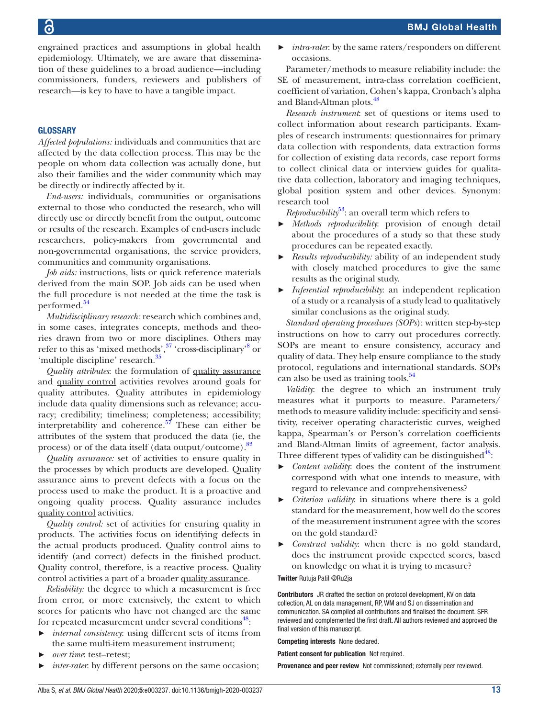engrained practices and assumptions in global health epidemiology. Ultimately, we are aware that dissemination of these guidelines to a broad audience—including commissioners, funders, reviewers and publishers of research—is key to have to have a tangible impact.

#### **GLOSSARY**

*Affected populations:* individuals and communities that are affected by the data collection process. This may be the people on whom data collection was actually done, but also their families and the wider community which may be directly or indirectly affected by it.

*End-users:* individuals, communities or organisations external to those who conducted the research, who will directly use or directly benefit from the output, outcome or results of the research. Examples of end-users include researchers, policy-makers from governmental and non-governmental organisations, the service providers, communities and community organisations.

*Job aids:* instructions, lists or quick reference materials derived from the main SOP. Job aids can be used when the full procedure is not needed at the time the task is performed.<sup>54</sup>

*Multidisciplinary research:* research which combines and, in some cases, integrates concepts, methods and theories drawn from two or more disciplines. Others may refer to this as 'mixed methods',<sup>[37](#page-13-22)</sup> 'cross-disciplinary'<sup>[8](#page-13-6)</sup> or 'multiple discipline' research.<sup>[35](#page-13-21)</sup>

*Quality attributes*: the formulation of quality assurance and quality control activities revolves around goals for quality attributes. Quality attributes in epidemiology include data quality dimensions such as relevance; accuracy; credibility; timeliness; completeness; accessibility; interpretability and coherence. $57$  These can either be attributes of the system that produced the data (ie, the process) or of the data itself (data output/outcome)[.82](#page-14-27)

*Quality assurance:* set of activities to ensure quality in the processes by which products are developed. Quality assurance aims to prevent defects with a focus on the process used to make the product. It is a proactive and ongoing quality process. Quality assurance includes quality control activities.

*Quality control:* set of activities for ensuring quality in products. The activities focus on identifying defects in the actual products produced. Quality control aims to identify (and correct) defects in the finished product. Quality control, therefore, is a reactive process. Quality control activities a part of a broader quality assurance.

*Reliability:* the degree to which a measurement is free from error, or more extensively, the extent to which scores for patients who have not changed are the same for repeated measurement under several conditions<sup>48</sup>:

- ► *internal consistency*: using different sets of items from the same multi-item measurement instrument;
- ► *over time*: test–retest;
- ► *inter-rater*: by different persons on the same occasion;

*intra-rater*: by the same raters/responders on different occasions.

Parameter/methods to measure reliability include: the SE of measurement, intra-class correlation coefficient, coefficient of variation, Cohen's kappa, Cronbach's alpha and Bland-Altman plots.<sup>48</sup>

*Research instrument*: set of questions or items used to collect information about research participants. Examples of research instruments: questionnaires for primary data collection with respondents, data extraction forms for collection of existing data records, case report forms to collect clinical data or interview guides for qualitative data collection, laboratory and imaging techniques, global position system and other devices. Synonym: research tool

*Reproducibility*<sup>53</sup>: an overall term which refers to

- ► *Methods reproducibility*: provision of enough detail about the procedures of a study so that these study procedures can be repeated exactly.
- *Results reproducibility:* ability of an independent study with closely matched procedures to give the same results as the original study.
- ► *Inferential reproducibility*: an independent replication of a study or a reanalysis of a study lead to qualitatively similar conclusions as the original study.

*Standard operating procedures (SOPs*): written step-by-step instructions on how to carry out procedures correctly. SOPs are meant to ensure consistency, accuracy and quality of data. They help ensure compliance to the study protocol, regulations and international standards. SOPs can also be used as training tools.<sup>54</sup>

*Validity*: the degree to which an instrument truly measures what it purports to measure. Parameters/ methods to measure validity include: specificity and sensitivity, receiver operating characteristic curves, weighed kappa, Spearman's or Person's correlation coefficients and Bland-Altman limits of agreement, factor analysis. Three different types of validity can be distinguished<sup>48</sup>:

- *Content validity*: does the content of the instrument correspond with what one intends to measure, with regard to relevance and comprehensiveness?
- ► *Criterion validity*: in situations where there is a gold standard for the measurement, how well do the scores of the measurement instrument agree with the scores on the gold standard?
- ► *Construct validity*: when there is no gold standard, does the instrument provide expected scores, based on knowledge on what it is trying to measure?

Twitter Rutuja Patil [@Ru2ja](https://twitter.com/Ru2ja)

Contributors JR drafted the section on protocol development, KV on data collection, AL on data management, RP, WM and SJ on dissemination and communication. SA compiled all contributions and finalised the document. SFR reviewed and complemented the first draft. All authors reviewed and approved the final version of this manuscript.

Competing interests None declared.

Patient consent for publication Not required.

Provenance and peer review Not commissioned; externally peer reviewed.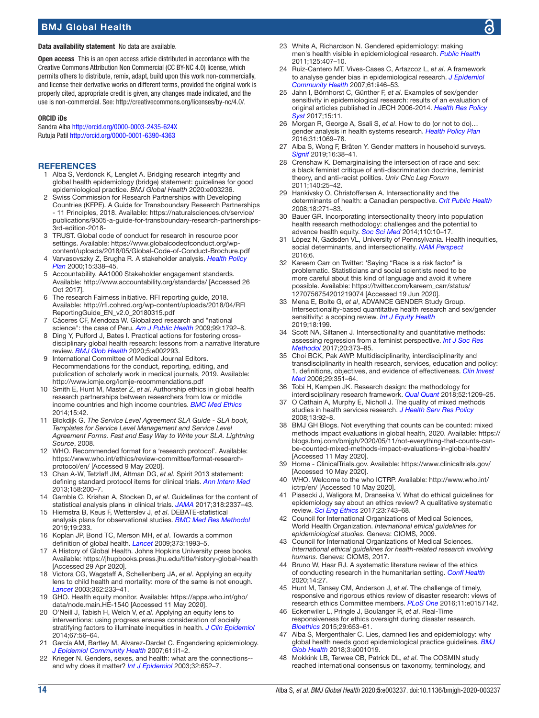Data availability statement No data are available.

Open access This is an open access article distributed in accordance with the Creative Commons Attribution Non Commercial (CC BY-NC 4.0) license, which permits others to distribute, remix, adapt, build upon this work non-commercially, and license their derivative works on different terms, provided the original work is properly cited, appropriate credit is given, any changes made indicated, and the use is non-commercial. See: [http://creativecommons.org/licenses/by-nc/4.0/.](http://creativecommons.org/licenses/by-nc/4.0/)

#### ORCID iDs

Sandra Alba <http://orcid.org/0000-0003-2435-624X> Rutuja Patil<http://orcid.org/0000-0001-6390-4363>

#### **REFERENCES**

- <span id="page-13-0"></span>1 Alba S, Verdonck K, Lenglet A. Bridging research integrity and global health epidemiology (bridge) statement: guidelines for good epidemiological practice. *BMJ Global Health* 2020:e003236.
- <span id="page-13-1"></span>2 Swiss Commission for Research Partnerships with Developing Countries (KFPE). A Guide for Transboundary Research Partnerships - 11 Principles, 2018. Available: [https://naturalsciences.ch/service/](https://naturalsciences.ch/service/publications/9505-a-guide-for-transboundary-research-partnerships-3rd-edition-2018-) [publications/9505-a-guide-for-transboundary-research-partnerships-](https://naturalsciences.ch/service/publications/9505-a-guide-for-transboundary-research-partnerships-3rd-edition-2018-)[3rd-edition-2018-](https://naturalsciences.ch/service/publications/9505-a-guide-for-transboundary-research-partnerships-3rd-edition-2018-)
- <span id="page-13-2"></span>3 TRUST. Global code of conduct for research in resource poor settings. Available: [https://www.globalcodeofconduct.org/wp](https://www.globalcodeofconduct.org/wp-content/uploads/2018/05/Global-Code-of-Conduct-Brochure.pdf)[content/uploads/2018/05/Global-Code-of-Conduct-Brochure.pdf](https://www.globalcodeofconduct.org/wp-content/uploads/2018/05/Global-Code-of-Conduct-Brochure.pdf)
- <span id="page-13-3"></span>4 Varvasovszky Z, Brugha R. A stakeholder analysis. *[Health Policy](http://dx.doi.org/10.1093/heapol/15.3.338)  [Plan](http://dx.doi.org/10.1093/heapol/15.3.338)* 2000;15:338–45.
- <span id="page-13-4"></span>5 Accountability. AA1000 Stakeholder engagement standards. Available:<http://www.accountability.org/standards/>[Accessed 26 Oct 2017].
- 6 The research Fairness initiative. RFI reporting guide, 2018. Available: [http://rfi.cohred.org/wp-content/uploads/2018/04/RFI\\_](http://rfi.cohred.org/wp-content/uploads/2018/04/RFI_ReportingGuide_EN_v2.0_20180315.pdf) [ReportingGuide\\_EN\\_v2.0\\_20180315.pdf](http://rfi.cohred.org/wp-content/uploads/2018/04/RFI_ReportingGuide_EN_v2.0_20180315.pdf)
- <span id="page-13-5"></span>7 Cáceres CF, Mendoza W. Globalized research and "national science": the case of Peru. *[Am J Public Health](http://dx.doi.org/10.2105/AJPH.2008.159236)* 2009;99:1792–8.
- <span id="page-13-6"></span>8 Ding Y, Pulford J, Bates I. Practical actions for fostering crossdisciplinary global health research: lessons from a narrative literature review. *[BMJ Glob Health](http://dx.doi.org/10.1136/bmjgh-2020-002293)* 2020;5:e002293.
- <span id="page-13-7"></span>International Committee of Medical Journal Editors. Recommendations for the conduct, reporting, editing, and publication of scholarly work in medical journals, 2019. Available: <http://www.icmje.org/icmje-recommendations.pdf>
- <span id="page-13-8"></span>10 Smith E, Hunt M, Master Z, *et al*. Authorship ethics in global health research partnerships between researchers from low or middle income countries and high income countries. *[BMC Med Ethics](http://dx.doi.org/10.1186/1472-6939-15-42)*  $2014.15.42$
- <span id="page-13-9"></span>11 Blokdijk G. *The Service Level Agreement SLA Guide - SLA book, Templates for Service Level Management and Service Level Agreement Forms. Fast and Easy Way to Write your SLA. Lightning Source*, 2008.
- <span id="page-13-10"></span>12 WHO. Recommended format for a 'research protocol'. Available: [https://www.who.int/ethics/review-committee/format-research](https://www.who.int/ethics/review-committee/format-research-protocol/en/)[protocol/en/](https://www.who.int/ethics/review-committee/format-research-protocol/en/) [Accessed 9 May 2020].
- 13 Chan A-W, Tetzlaff JM, Altman DG, *et al*. Spirit 2013 statement: defining standard protocol items for clinical trials. *[Ann Intern Med](http://dx.doi.org/10.7326/0003-4819-158-3-201302050-00583)* 2013;158:200–7.
- <span id="page-13-11"></span>14 Gamble C, Krishan A, Stocken D, *et al*. Guidelines for the content of statistical analysis plans in clinical trials. *[JAMA](http://dx.doi.org/10.1001/jama.2017.18556)* 2017;318:2337–43.
- <span id="page-13-12"></span>15 Hiemstra B, Keus F, Wetterslev J, *et al*. DEBATE-statistical analysis plans for observational studies. *[BMC Med Res Methodol](http://dx.doi.org/10.1186/s12874-019-0879-5)* 2019;19:233.
- <span id="page-13-13"></span>16 Koplan JP, Bond TC, Merson MH, *et al*. Towards a common definition of global health. *[Lancet](http://dx.doi.org/10.1016/S0140-6736(09)60332-9)* 2009;373:1993–5.
- 17 A History of Global Health. Johns Hopkins University press books. Available:<https://jhupbooks.press.jhu.edu/title/history-global-health> [Accessed 29 Apr 2020].
- 18 Victora CG, Wagstaff A, Schellenberg JA, *et al*. Applying an equity lens to child health and mortality: more of the same is not enough. *[Lancet](http://dx.doi.org/10.1016/S0140-6736(03)13917-7)* 2003;362:233–41.
- 19 GHO. Health equity monitor. Available: [https://apps.who.int/gho/](https://apps.who.int/gho/data/node.main.HE-1540) [data/node.main.HE-1540](https://apps.who.int/gho/data/node.main.HE-1540) [Accessed 11 May 2020].
- <span id="page-13-14"></span>20 O'Neill J, Tabish H, Welch V, *et al*. Applying an equity lens to interventions: using progress ensures consideration of socially stratifying factors to illuminate inequities in health. *[J Clin Epidemiol](http://dx.doi.org/10.1016/j.jclinepi.2013.08.005)* 2014;67:56–64.
- <span id="page-13-15"></span>21 García AM, Bartley M, Alvarez-Dardet C. Engendering epidemiology. *[J Epidemiol Community Health](http://dx.doi.org/10.1136/jech.2007.069658)* 2007;61:ii1–2.
- 22 Krieger N. Genders, sexes, and health: what are the connections- and why does it matter? *[Int J Epidemiol](http://dx.doi.org/10.1093/ije/dyg156)* 2003;32:652–7.
- White A, Richardson N. Gendered epidemiology: making men's health visible in epidemiological research. *[Public Health](http://dx.doi.org/10.1016/j.puhe.2011.04.012)* 2011;125:407–10.
- 24 Ruiz-Cantero MT, Vives-Cases C, Artazcoz L, *et al*. A framework to analyse gender bias in epidemiological research. *[J Epidemiol](http://dx.doi.org/10.1136/jech.2007.062034)  [Community Health](http://dx.doi.org/10.1136/jech.2007.062034)* 2007;61:ii46–53.
- 25 Jahn I, Börnhorst C, Günther F, *et al*. Examples of sex/gender sensitivity in epidemiological research: results of an evaluation of original articles published in JECH 2006-2014. *[Health Res Policy](http://dx.doi.org/10.1186/s12961-017-0174-z)  [Syst](http://dx.doi.org/10.1186/s12961-017-0174-z)* 2017;15:11.
- 26 Morgan R, George A, Ssali S, *et al*. How to do (or not to do)… gender analysis in health systems research. *[Health Policy Plan](http://dx.doi.org/10.1093/heapol/czw037)* 2016;31:1069–78.
- <span id="page-13-17"></span>27 Alba S, Wong F, Bråten Y. Gender matters in household surveys. *[Signif](http://dx.doi.org/10.1111/j.1740-9713.2019.01340.x)* 2019;16:38–41.
- <span id="page-13-16"></span>28 Crenshaw K. Demarginalising the intersection of race and sex: a black feminist critique of anti-discrimination doctrine, feminist theory, and anti-racist politics. *Univ Chic Leg Forum* 2011;140:25–42.
- <span id="page-13-18"></span>29 Hankivsky O, Christoffersen A. Intersectionality and the determinants of health: a Canadian perspective. *[Crit Public Health](http://dx.doi.org/10.1080/09581590802294296)* 2008;18:271–83.
- 30 Bauer GR. Incorporating intersectionality theory into population health research methodology: challenges and the potential to advance health equity. *[Soc Sci Med](http://dx.doi.org/10.1016/j.socscimed.2014.03.022)* 2014;110:10–17.
- 31 López N, Gadsden VL, University of Pennsylvania. Health inequities, social determinants, and intersectionality. *[NAM Perspect](http://dx.doi.org/10.31478/201612a)* 2016:6
- <span id="page-13-19"></span>32 Kareem Carr on Twitter: 'Saying "Race is a risk factor" is problematic. Statisticians and social scientists need to be more careful about this kind of language and avoid it where possible. Available: [https://twitter.com/kareem\\_carr/status/](https://twitter.com/kareem_carr/status/1270756754201219074) [1270756754201219074](https://twitter.com/kareem_carr/status/1270756754201219074) [Accessed 19 Jun 2020].
- <span id="page-13-20"></span>33 Mena E, Bolte G, *et al*, ADVANCE GENDER Study Group. Intersectionality-based quantitative health research and sex/gender sensitivity: a scoping review. *[Int J Equity Health](http://dx.doi.org/10.1186/s12939-019-1098-8)* 2019;18:199.
- 34 Scott NA, Siltanen J. Intersectionality and quantitative methods: assessing regression from a feminist perspective. *[Int J Soc Res](http://dx.doi.org/10.1080/13645579.2016.1201328)  [Methodol](http://dx.doi.org/10.1080/13645579.2016.1201328)* 2017;20:373–85.
- <span id="page-13-21"></span>35 Choi BCK, Pak AWP. Multidisciplinarity, interdisciplinarity and transdisciplinarity in health research, services, education and policy: 1. definitions, objectives, and evidence of effectiveness. *[Clin Invest](http://www.ncbi.nlm.nih.gov/pubmed/http://www.ncbi.nlm.nih.gov/pubmed/17330451)  [Med](http://www.ncbi.nlm.nih.gov/pubmed/http://www.ncbi.nlm.nih.gov/pubmed/17330451)* 2006;29:351–64.
- Tobi H, Kampen JK. Research design: the methodology for interdisciplinary research framework. *[Qual Quant](http://dx.doi.org/10.1007/s11135-017-0513-8)* 2018;52:1209–25.
- <span id="page-13-22"></span>37 O'Cathain A, Murphy E, Nicholl J. The quality of mixed methods studies in health services research. *[J Health Serv Res Policy](http://dx.doi.org/10.1258/jhsrp.2007.007074)* 2008;13:92–8.
- <span id="page-13-32"></span>38 BMJ GH Blogs. Not everything that counts can be counted: mixed methods impact evaluations in global health, 2020. Available: [https://](https://blogs.bmj.com/bmjgh/2020/05/11/not-everything-that-counts-can-be-counted-mixed-methods-impact-evaluations-in-global-health/) [blogs.bmj.com/bmjgh/2020/05/11/not-everything-that-counts-can](https://blogs.bmj.com/bmjgh/2020/05/11/not-everything-that-counts-can-be-counted-mixed-methods-impact-evaluations-in-global-health/)[be-counted-mixed-methods-impact-evaluations-in-global-health/](https://blogs.bmj.com/bmjgh/2020/05/11/not-everything-that-counts-can-be-counted-mixed-methods-impact-evaluations-in-global-health/)  [Accessed 11 May 2020].
- <span id="page-13-23"></span>39 Home - ClinicalTrials.gov. Available: <https://www.clinicaltrials.gov/> [Accessed 10 May 2020].
- 40 WHO. Welcome to the who ICTRP. Available: [http://www.who.int/](http://www.who.int/ictrp/en/) [ictrp/en/](http://www.who.int/ictrp/en/) [Accessed 10 May 2020].
- <span id="page-13-24"></span>41 Piasecki J, Waligora M, Dranseika V. What do ethical guidelines for epidemiology say about an ethics review? A qualitative systematic review. *[Sci Eng Ethics](http://dx.doi.org/10.1007/s11948-016-9829-3)* 2017;23:743–68.
- <span id="page-13-25"></span>42 Council for International Organizations of Medical Sciences, World Health Organization. *International ethical guidelines for epidemiological studies*. Geneva: CIOMS, 2009.
- <span id="page-13-26"></span>43 Council for International Organizations of Medical Sciences. *International ethical guidelines for health-related research involving humans*. Geneva: CIOMS, 2017.
- <span id="page-13-27"></span>44 Bruno W, Haar RJ. A systematic literature review of the ethics of conducting research in the humanitarian setting. *[Confl Health](http://dx.doi.org/10.1186/s13031-020-00282-0)* 2020;14:27.
- <span id="page-13-28"></span>45 Hunt M, Tansey CM, Anderson J, *et al*. The challenge of timely, responsive and rigorous ethics review of disaster research: views of research ethics Committee members. *[PLoS One](http://dx.doi.org/10.1371/journal.pone.0157142)* 2016;11:e0157142.
- <span id="page-13-29"></span>46 Eckenwiler L, Pringle J, Boulanger R, *et al*. Real-Time responsiveness for ethics oversight during disaster research. *[Bioethics](http://dx.doi.org/10.1111/bioe.12193)* 2015;29:653–61.
- <span id="page-13-30"></span>47 Alba S, Mergenthaler C. Lies, damned lies and epidemiology: why global health needs good epidemiological practice guidelines. *[BMJ](http://dx.doi.org/10.1136/bmjgh-2018-001019)  [Glob Health](http://dx.doi.org/10.1136/bmjgh-2018-001019)* 2018;3:e001019.
- <span id="page-13-31"></span>48 Mokkink LB, Terwee CB, Patrick DL, *et al*. The COSMIN study reached international consensus on taxonomy, terminology, and